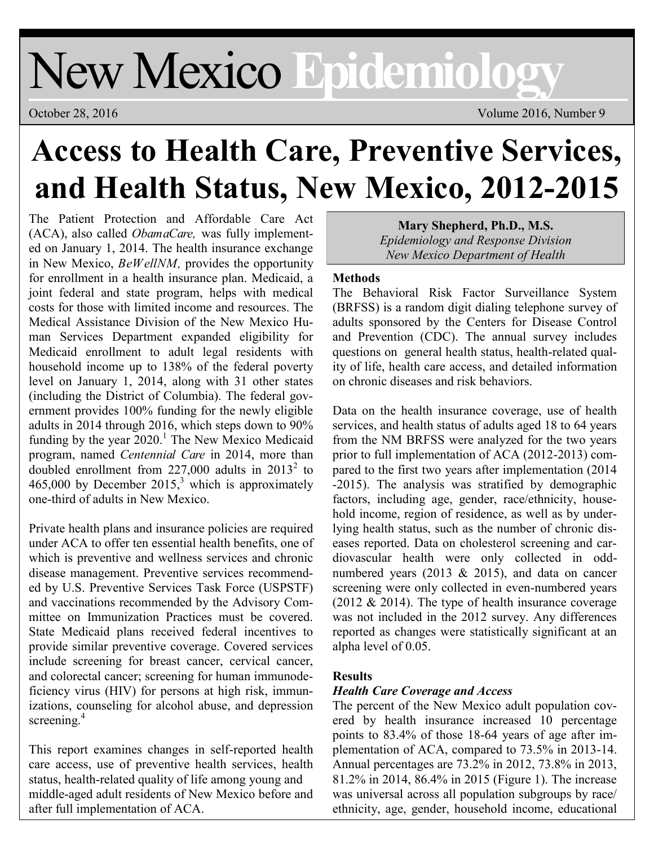# New Mexico **Epidemiology**

October 28, 2016 Volume 2016, Number 9

# **Access to Health Care, Preventive Services, and Health Status, New Mexico, 2012-2015**

The Patient Protection and Affordable Care Act (ACA), also called *ObamaCare,* was fully implemented on January 1, 2014. The health insurance exchange in New Mexico, *BeWellNM,* provides the opportunity for enrollment in a health insurance plan. Medicaid, a joint federal and state program, helps with medical costs for those with limited income and resources. The Medical Assistance Division of the New Mexico Human Services Department expanded eligibility for Medicaid enrollment to adult legal residents with household income up to 138% of the federal poverty level on January 1, 2014, along with 31 other states (including the District of Columbia). The federal government provides 100% funding for the newly eligible adults in 2014 through 2016, which steps down to 90% funding by the year  $2020$ .<sup>1</sup> The New Mexico Medicaid program, named *Centennial Care* in 2014, more than doubled enrollment from  $227,000$  adults in  $2013^2$  to 465,000 by December 2015,<sup>3</sup> which is approximately one-third of adults in New Mexico.

Private health plans and insurance policies are required under ACA to offer ten essential health benefits, one of which is preventive and wellness services and chronic disease management. Preventive services recommended by U.S. Preventive Services Task Force (USPSTF) and vaccinations recommended by the Advisory Committee on Immunization Practices must be covered. State Medicaid plans received federal incentives to provide similar preventive coverage. Covered services include screening for breast cancer, cervical cancer, and colorectal cancer; screening for human immunodeficiency virus (HIV) for persons at high risk, immunizations, counseling for alcohol abuse, and depression screening.<sup>4</sup>

This report examines changes in self-reported health care access, use of preventive health services, health status, health-related quality of life among young and middle-aged adult residents of New Mexico before and after full implementation of ACA.

**Mary Shepherd, Ph.D., M.S.** *Epidemiology and Response Division New Mexico Department of Health*

#### **Methods**

The Behavioral Risk Factor Surveillance System (BRFSS) is a random digit dialing telephone survey of adults sponsored by the Centers for Disease Control and Prevention (CDC). The annual survey includes questions on general health status, health-related quality of life, health care access, and detailed information on chronic diseases and risk behaviors.

Data on the health insurance coverage, use of health services, and health status of adults aged 18 to 64 years from the NM BRFSS were analyzed for the two years prior to full implementation of ACA (2012-2013) compared to the first two years after implementation (2014 -2015). The analysis was stratified by demographic factors, including age, gender, race/ethnicity, household income, region of residence, as well as by underlying health status, such as the number of chronic diseases reported. Data on cholesterol screening and cardiovascular health were only collected in oddnumbered years (2013  $& 2015$ ), and data on cancer screening were only collected in even-numbered years (2012  $& 2014$ ). The type of health insurance coverage was not included in the 2012 survey. Any differences reported as changes were statistically significant at an alpha level of 0.05.

# **Results**

#### *Health Care Coverage and Access*

The percent of the New Mexico adult population covered by health insurance increased 10 percentage points to 83.4% of those 18-64 years of age after implementation of ACA, compared to 73.5% in 2013-14. Annual percentages are 73.2% in 2012, 73.8% in 2013, 81.2% in 2014, 86.4% in 2015 (Figure 1). The increase was universal across all population subgroups by race/ ethnicity, age, gender, household income, educational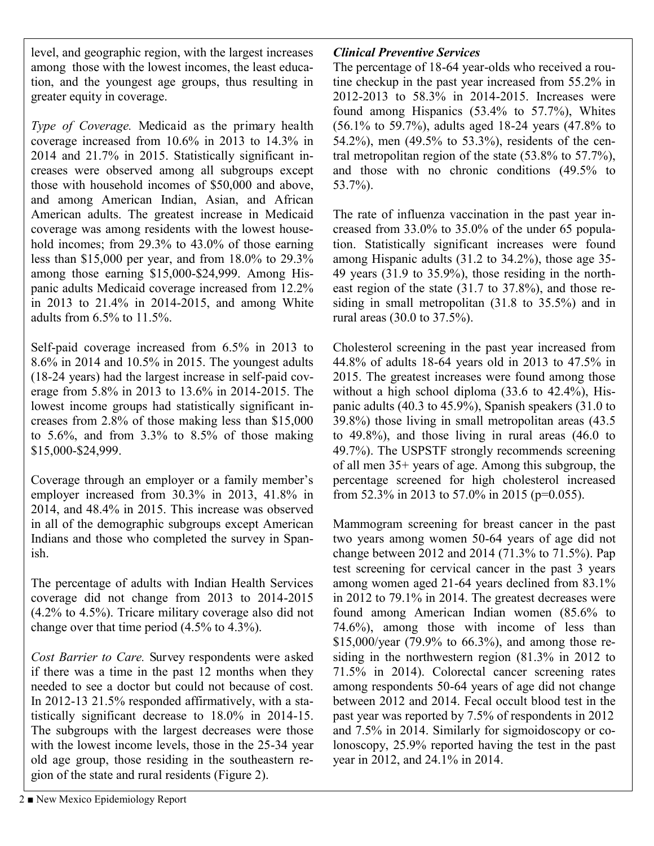level, and geographic region, with the largest increases among those with the lowest incomes, the least education, and the youngest age groups, thus resulting in greater equity in coverage.

*Type of Coverage.* Medicaid as the primary health coverage increased from 10.6% in 2013 to 14.3% in 2014 and 21.7% in 2015. Statistically significant increases were observed among all subgroups except those with household incomes of \$50,000 and above, and among American Indian, Asian, and African American adults. The greatest increase in Medicaid coverage was among residents with the lowest household incomes; from 29.3% to 43.0% of those earning less than \$15,000 per year, and from 18.0% to 29.3% among those earning \$15,000-\$24,999. Among Hispanic adults Medicaid coverage increased from 12.2% in 2013 to 21.4% in 2014-2015, and among White adults from 6.5% to 11.5%.

Self-paid coverage increased from 6.5% in 2013 to 8.6% in 2014 and 10.5% in 2015. The youngest adults (18-24 years) had the largest increase in self-paid coverage from 5.8% in 2013 to 13.6% in 2014-2015. The lowest income groups had statistically significant increases from 2.8% of those making less than \$15,000 to  $5.6\%$ , and from  $3.3\%$  to  $8.5\%$  of those making \$15,000-\$24,999.

Coverage through an employer or a family member's employer increased from 30.3% in 2013, 41.8% in 2014, and 48.4% in 2015. This increase was observed in all of the demographic subgroups except American Indians and those who completed the survey in Spanish.

The percentage of adults with Indian Health Services coverage did not change from 2013 to 2014-2015 (4.2% to 4.5%). Tricare military coverage also did not change over that time period (4.5% to 4.3%).

*Cost Barrier to Care.* Survey respondents were asked if there was a time in the past 12 months when they needed to see a doctor but could not because of cost. In 2012-13 21.5% responded affirmatively, with a statistically significant decrease to 18.0% in 2014-15. The subgroups with the largest decreases were those with the lowest income levels, those in the 25-34 year old age group, those residing in the southeastern region of the state and rural residents (Figure 2).

# *Clinical Preventive Services*

The percentage of 18-64 year-olds who received a routine checkup in the past year increased from 55.2% in 2012-2013 to 58.3% in 2014-2015. Increases were found among Hispanics (53.4% to 57.7%), Whites (56.1% to 59.7%), adults aged 18-24 years (47.8% to 54.2%), men (49.5% to 53.3%), residents of the central metropolitan region of the state (53.8% to 57.7%), and those with no chronic conditions (49.5% to 53.7%).

The rate of influenza vaccination in the past year increased from 33.0% to 35.0% of the under 65 population. Statistically significant increases were found among Hispanic adults (31.2 to 34.2%), those age 35- 49 years (31.9 to 35.9%), those residing in the northeast region of the state (31.7 to 37.8%), and those residing in small metropolitan (31.8 to 35.5%) and in rural areas (30.0 to 37.5%).

Cholesterol screening in the past year increased from 44.8% of adults 18-64 years old in 2013 to 47.5% in 2015. The greatest increases were found among those without a high school diploma (33.6 to 42.4%), Hispanic adults (40.3 to 45.9%), Spanish speakers (31.0 to 39.8%) those living in small metropolitan areas (43.5 to 49.8%), and those living in rural areas (46.0 to 49.7%). The USPSTF strongly recommends screening of all men 35+ years of age. Among this subgroup, the percentage screened for high cholesterol increased from 52.3% in 2013 to 57.0% in 2015 (p=0.055).

Mammogram screening for breast cancer in the past two years among women 50-64 years of age did not change between 2012 and 2014 (71.3% to 71.5%). Pap test screening for cervical cancer in the past 3 years among women aged 21-64 years declined from 83.1% in 2012 to 79.1% in 2014. The greatest decreases were found among American Indian women (85.6% to 74.6%), among those with income of less than \$15,000/year (79.9% to 66.3%), and among those residing in the northwestern region (81.3% in 2012 to 71.5% in 2014). Colorectal cancer screening rates among respondents 50-64 years of age did not change between 2012 and 2014. Fecal occult blood test in the past year was reported by 7.5% of respondents in 2012 and 7.5% in 2014. Similarly for sigmoidoscopy or colonoscopy, 25.9% reported having the test in the past year in 2012, and 24.1% in 2014.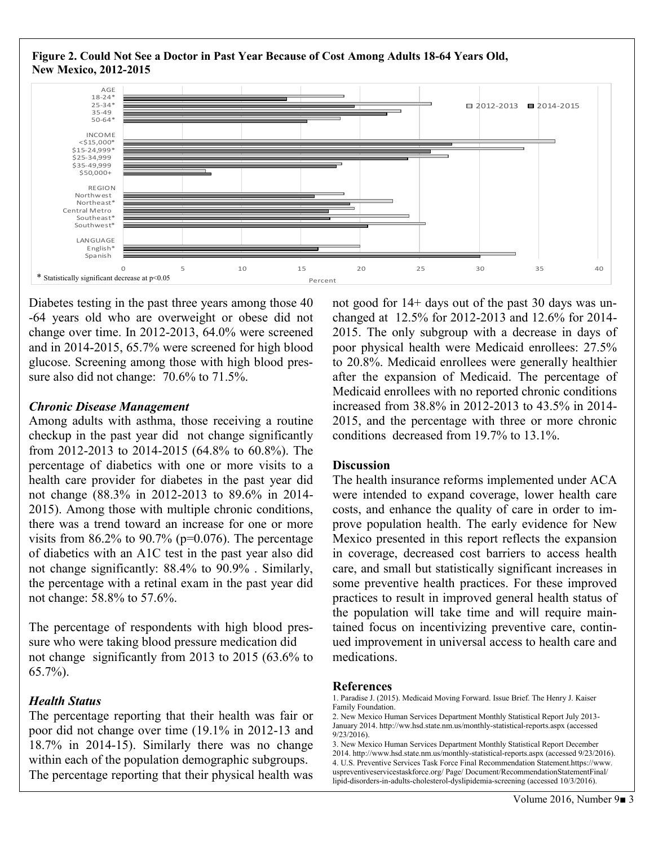

Diabetes testing in the past three years among those 40 -64 years old who are overweight or obese did not change over time. In 2012-2013, 64.0% were screened and in 2014-2015, 65.7% were screened for high blood glucose. Screening among those with high blood pressure also did not change:  $70.6\%$  to  $71.5\%$ .

#### *Chronic Disease Management*

Among adults with asthma, those receiving a routine checkup in the past year did not change significantly from 2012-2013 to 2014-2015 (64.8% to 60.8%). The percentage of diabetics with one or more visits to a health care provider for diabetes in the past year did not change (88.3% in 2012-2013 to 89.6% in 2014- 2015). Among those with multiple chronic conditions, there was a trend toward an increase for one or more visits from  $86.2\%$  to  $90.7\%$  (p=0.076). The percentage of diabetics with an A1C test in the past year also did not change significantly: 88.4% to 90.9% . Similarly, the percentage with a retinal exam in the past year did not change: 58.8% to 57.6%.

The percentage of respondents with high blood pressure who were taking blood pressure medication did not change significantly from 2013 to 2015 (63.6% to 65.7%).

# *Health Status*

The percentage reporting that their health was fair or poor did not change over time (19.1% in 2012-13 and 18.7% in 2014-15). Similarly there was no change within each of the population demographic subgroups. The percentage reporting that their physical health was

not good for 14+ days out of the past 30 days was unchanged at 12.5% for 2012-2013 and 12.6% for 2014- 2015. The only subgroup with a decrease in days of poor physical health were Medicaid enrollees: 27.5% to 20.8%. Medicaid enrollees were generally healthier after the expansion of Medicaid. The percentage of Medicaid enrollees with no reported chronic conditions increased from 38.8% in 2012-2013 to 43.5% in 2014- 2015, and the percentage with three or more chronic conditions decreased from 19.7% to 13.1%.

#### **Discussion**

The health insurance reforms implemented under ACA were intended to expand coverage, lower health care costs, and enhance the quality of care in order to improve population health. The early evidence for New Mexico presented in this report reflects the expansion in coverage, decreased cost barriers to access health care, and small but statistically significant increases in some preventive health practices. For these improved practices to result in improved general health status of the population will take time and will require maintained focus on incentivizing preventive care, continued improvement in universal access to health care and medications.

#### **References**

<sup>1.</sup> Paradise J. (2015). Medicaid Moving Forward. Issue Brief. The Henry J. Kaiser Family Foundation.

<sup>2.</sup> New Mexico Human Services Department Monthly Statistical Report July 2013- January 2014. http://ww.hsd.state.nm.us/monthly-statistical-reports.aspx (accessed 9/23/2016).

<sup>3.</sup> New Mexico Human Services Department Monthly Statistical Report December 2014. http://www.hsd.state.nm.us/monthly-statistical-reports.aspx (accessed 9/23/2016). 4. U.S. Preventive Services Task Force Final Recommendation Statement.https://www. uspreventiveservicestaskforce.org/ Page/ Document/RecommendationStatementFinal/ lipid-disorders-in-adults-cholesterol-dyslipidemia-screening (accessed 10/3/2016).